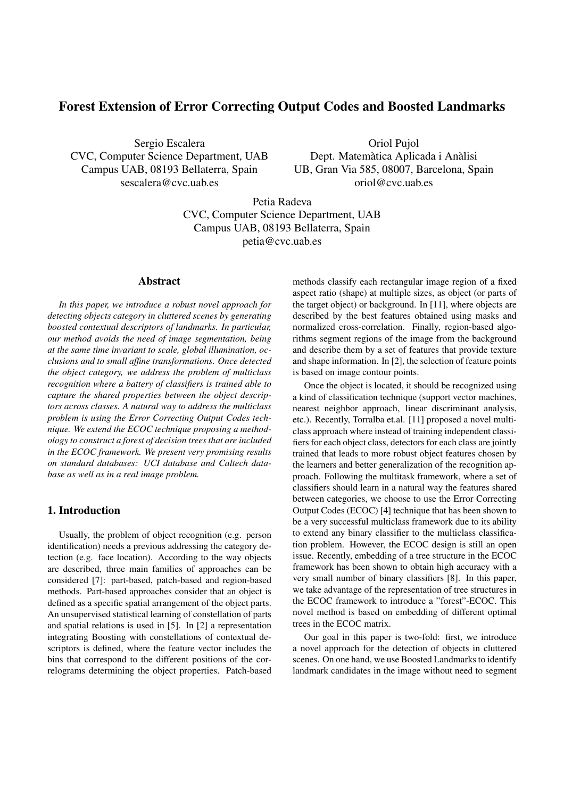# Forest Extension of Error Correcting Output Codes and Boosted Landmarks

Sergio Escalera CVC, Computer Science Department, UAB Campus UAB, 08193 Bellaterra, Spain sescalera@cvc.uab.es

Oriol Pujol Dept. Matemàtica Aplicada i Anàlisi UB, Gran Via 585, 08007, Barcelona, Spain oriol@cvc.uab.es

Petia Radeva CVC, Computer Science Department, UAB Campus UAB, 08193 Bellaterra, Spain petia@cvc.uab.es

## Abstract

*In this paper, we introduce a robust novel approach for detecting objects category in cluttered scenes by generating boosted contextual descriptors of landmarks. In particular, our method avoids the need of image segmentation, being at the same time invariant to scale, global illumination, occlusions and to small affine transformations. Once detected the object category, we address the problem of multiclass recognition where a battery of classifiers is trained able to capture the shared properties between the object descriptors across classes. A natural way to address the multiclass problem is using the Error Correcting Output Codes technique. We extend the ECOC technique proposing a methodology to construct a forest of decision trees that are included in the ECOC framework. We present very promising results on standard databases: UCI database and Caltech database as well as in a real image problem.*

## 1. Introduction

Usually, the problem of object recognition (e.g. person identification) needs a previous addressing the category detection (e.g. face location). According to the way objects are described, three main families of approaches can be considered [7]: part-based, patch-based and region-based methods. Part-based approaches consider that an object is defined as a specific spatial arrangement of the object parts. An unsupervised statistical learning of constellation of parts and spatial relations is used in [5]. In [2] a representation integrating Boosting with constellations of contextual descriptors is defined, where the feature vector includes the bins that correspond to the different positions of the correlograms determining the object properties. Patch-based methods classify each rectangular image region of a fixed aspect ratio (shape) at multiple sizes, as object (or parts of the target object) or background. In [11], where objects are described by the best features obtained using masks and normalized cross-correlation. Finally, region-based algorithms segment regions of the image from the background and describe them by a set of features that provide texture and shape information. In [2], the selection of feature points is based on image contour points.

Once the object is located, it should be recognized using a kind of classification technique (support vector machines, nearest neighbor approach, linear discriminant analysis, etc.). Recently, Torralba et.al. [11] proposed a novel multiclass approach where instead of training independent classifiers for each object class, detectors for each class are jointly trained that leads to more robust object features chosen by the learners and better generalization of the recognition approach. Following the multitask framework, where a set of classifiers should learn in a natural way the features shared between categories, we choose to use the Error Correcting Output Codes (ECOC) [4] technique that has been shown to be a very successful multiclass framework due to its ability to extend any binary classifier to the multiclass classification problem. However, the ECOC design is still an open issue. Recently, embedding of a tree structure in the ECOC framework has been shown to obtain high accuracy with a very small number of binary classifiers [8]. In this paper, we take advantage of the representation of tree structures in the ECOC framework to introduce a "forest"-ECOC. This novel method is based on embedding of different optimal trees in the ECOC matrix.

Our goal in this paper is two-fold: first, we introduce a novel approach for the detection of objects in cluttered scenes. On one hand, we use Boosted Landmarks to identify landmark candidates in the image without need to segment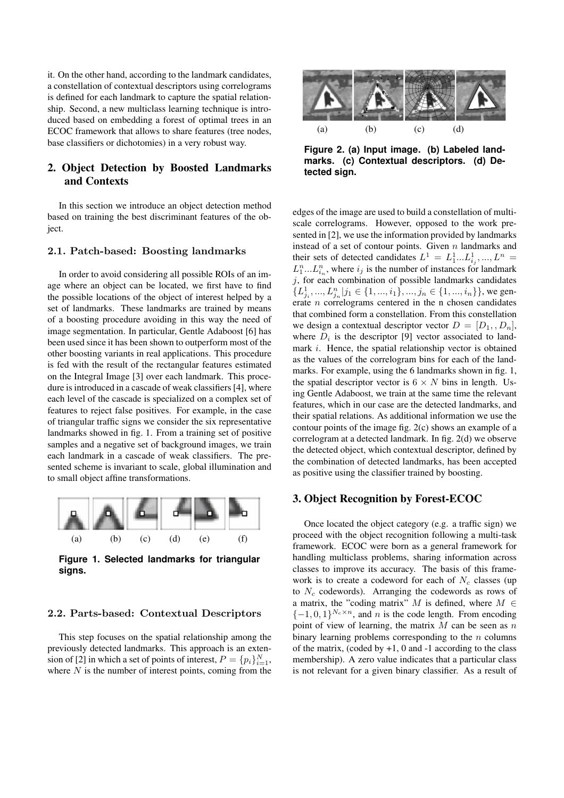it. On the other hand, according to the landmark candidates, a constellation of contextual descriptors using correlograms is defined for each landmark to capture the spatial relationship. Second, a new multiclass learning technique is introduced based on embedding a forest of optimal trees in an ECOC framework that allows to share features (tree nodes, base classifiers or dichotomies) in a very robust way.

# 2. Object Detection by Boosted Landmarks and Contexts

In this section we introduce an object detection method based on training the best discriminant features of the object.

#### 2.1. Patch-based: Boosting landmarks

In order to avoid considering all possible ROIs of an image where an object can be located, we first have to find the possible locations of the object of interest helped by a set of landmarks. These landmarks are trained by means of a boosting procedure avoiding in this way the need of image segmentation. In particular, Gentle Adaboost [6] has been used since it has been shown to outperform most of the other boosting variants in real applications. This procedure is fed with the result of the rectangular features estimated on the Integral Image [3] over each landmark. This procedure is introduced in a cascade of weak classifiers [4], where each level of the cascade is specialized on a complex set of features to reject false positives. For example, in the case of triangular traffic signs we consider the six representative landmarks showed in fig. 1. From a training set of positive samples and a negative set of background images, we train each landmark in a cascade of weak classifiers. The presented scheme is invariant to scale, global illumination and to small object affine transformations.



**Figure 1. Selected landmarks for triangular signs.**

#### 2.2. Parts-based: Contextual Descriptors

This step focuses on the spatial relationship among the previously detected landmarks. This approach is an extension of [2] in which a set of points of interest,  $P = \{p_i\}_{i=1}^N$ , where  $N$  is the number of interest points, coming from the



**Figure 2. (a) Input image. (b) Labeled landmarks. (c) Contextual descriptors. (d) Detected sign.**

edges of the image are used to build a constellation of multiscale correlograms. However, opposed to the work presented in [2], we use the information provided by landmarks instead of a set of contour points. Given  $n$  landmarks and their sets of detected candidates  $L^1 = L_1^1...L_{i_j}^1,...,L^n =$  $L_1^n...L_{i_n}^n$ , where  $i_j$  is the number of instances for landmark  $j$ , for each combination of possible landmarks candidates  $\{L^1_{j_i},...,L^n_{j_n}|j_1\in\{1,...,i_1\},...,j_n\in\{1,...,i_n\}\}$ , we generate  $n$  correlograms centered in the n chosen candidates that combined form a constellation. From this constellation we design a contextual descriptor vector  $D = [D_1, D_n],$ where  $D_i$  is the descriptor [9] vector associated to landmark *i*. Hence, the spatial relationship vector is obtained as the values of the correlogram bins for each of the landmarks. For example, using the 6 landmarks shown in fig. 1, the spatial descriptor vector is  $6 \times N$  bins in length. Using Gentle Adaboost, we train at the same time the relevant features, which in our case are the detected landmarks, and their spatial relations. As additional information we use the contour points of the image fig. 2(c) shows an example of a correlogram at a detected landmark. In fig. 2(d) we observe the detected object, which contextual descriptor, defined by the combination of detected landmarks, has been accepted as positive using the classifier trained by boosting.

#### 3. Object Recognition by Forest-ECOC

Once located the object category (e.g. a traffic sign) we proceed with the object recognition following a multi-task framework. ECOC were born as a general framework for handling multiclass problems, sharing information across classes to improve its accuracy. The basis of this framework is to create a codeword for each of  $N_c$  classes (up to  $N_c$  codewords). Arranging the codewords as rows of a matrix, the "coding matrix" M is defined, where  $M \in$  $\{-1,0,1\}^{N_c \times n}$ , and *n* is the code length. From encoding point of view of learning, the matrix  $M$  can be seen as  $n$ binary learning problems corresponding to the  $n$  columns of the matrix, (coded by  $+1$ , 0 and  $-1$  according to the class membership). A zero value indicates that a particular class is not relevant for a given binary classifier. As a result of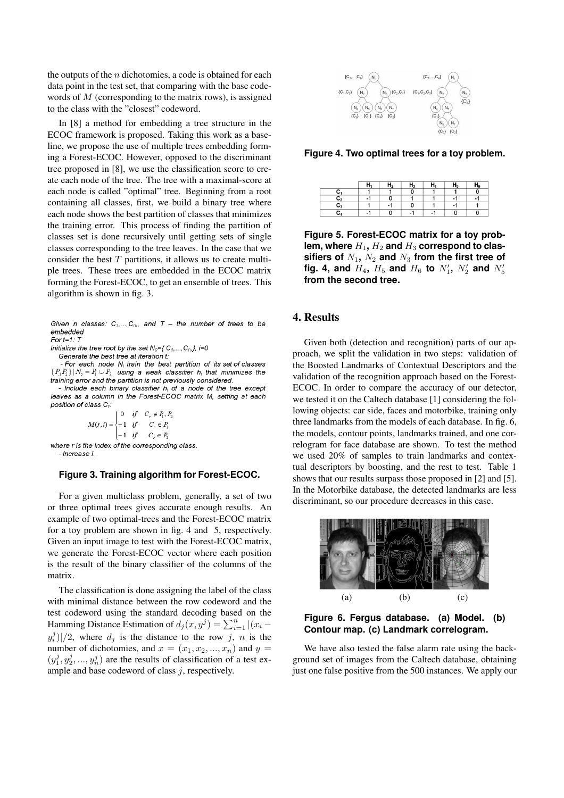the outputs of the  $n$  dichotomies, a code is obtained for each data point in the test set, that comparing with the base codewords of M (corresponding to the matrix rows), is assigned to the class with the "closest" codeword.

In [8] a method for embedding a tree structure in the ECOC framework is proposed. Taking this work as a baseline, we propose the use of multiple trees embedding forming a Forest-ECOC. However, opposed to the discriminant tree proposed in [8], we use the classification score to create each node of the tree. The tree with a maximal-score at each node is called "optimal" tree. Beginning from a root containing all classes, first, we build a binary tree where each node shows the best partition of classes that minimizes the training error. This process of finding the partition of classes set is done recursively until getting sets of single classes corresponding to the tree leaves. In the case that we consider the best  $T$  partitions, it allows us to create multiple trees. These trees are embedded in the ECOC matrix forming the Forest-ECOC, to get an ensemble of trees. This algorithm is shown in fig. 3.

Given n classes:  $C_1,...,C_n$ , and T - the number of trees to be embedded

For  $t=1:7$ 

Initialize the tree root by the set  $N_0 = \{C_1, ..., C_n\}$ , i=0

Generate the best tree at iteration t: - For each node  $N_i$  train the best partition of its set of classes  ${P_1P_2}$   $|N_i = P_1 \cup P_2$  using a weak classifier h<sub>i</sub> that minimizes the training error and the partition is not previously considered.

Include each binary classifier  $h_i$  of a node of the tree except leaves as a column in the Forest-ECOC matrix M, setting at each position of class C<sub>r</sub>:

 $\Omega$ if  $C_1 \notin P_1, P_2$  $M(r, i) = \begin{cases} +1 & if & C_1 \in P_1 \\ -1 & if & C_2 \in P_2 \end{cases}$ where r is the index of the corresponding class.

- Increase i.

## **Figure 3. Training algorithm for Forest-ECOC.**

For a given multiclass problem, generally, a set of two or three optimal trees gives accurate enough results. An example of two optimal-trees and the Forest-ECOC matrix for a toy problem are shown in fig. 4 and 5, respectively. Given an input image to test with the Forest-ECOC matrix, we generate the Forest-ECOC vector where each position is the result of the binary classifier of the columns of the matrix.

The classification is done assigning the label of the class with minimal distance between the row codeword and the test codeword using the standard decoding based on the Hamming Distance Estimation of  $d_j(x, y^j) = \sum_{i=1}^n |(x_i$  $y_i^j$ )|/2, where  $d_j$  is the distance to the row j, n is the number of dichotomies, and  $x = (x_1, x_2, ..., x_n)$  and  $y =$  $(y_1^j, y_2^j, ..., y_n^j)$  are the results of classification of a test example and base codeword of class  $j$ , respectively.



**Figure 4. Two optimal trees for a toy problem.**

|    | н, | $H_3$ | н. | <br>Пĸ |  |
|----|----|-------|----|--------|--|
|    |    |       |    |        |  |
| с. |    |       |    |        |  |
| c. |    |       |    |        |  |
|    |    | ۰     |    |        |  |

**Figure 5. Forest-ECOC matrix for a toy prob**lem, where  $H_1$ ,  $H_2$  and  $H_3$  correspond to classifiers of  $N_1$ ,  $N_2$  and  $N_3$  from the first tree of fig. 4, and  $H_4$ ,  $H_5$  and  $H_6$  to  $N'_1$ ,  $N'_2$  and  $N'_5$ **from the second tree.**

# 4. Results

Given both (detection and recognition) parts of our approach, we split the validation in two steps: validation of the Boosted Landmarks of Contextual Descriptors and the validation of the recognition approach based on the Forest-ECOC. In order to compare the accuracy of our detector, we tested it on the Caltech database [1] considering the following objects: car side, faces and motorbike, training only three landmarks from the models of each database. In fig. 6, the models, contour points, landmarks trained, and one correlogram for face database are shown. To test the method we used 20% of samples to train landmarks and contextual descriptors by boosting, and the rest to test. Table 1 shows that our results surpass those proposed in [2] and [5]. In the Motorbike database, the detected landmarks are less discriminant, so our procedure decreases in this case.





We have also tested the false alarm rate using the background set of images from the Caltech database, obtaining just one false positive from the 500 instances. We apply our